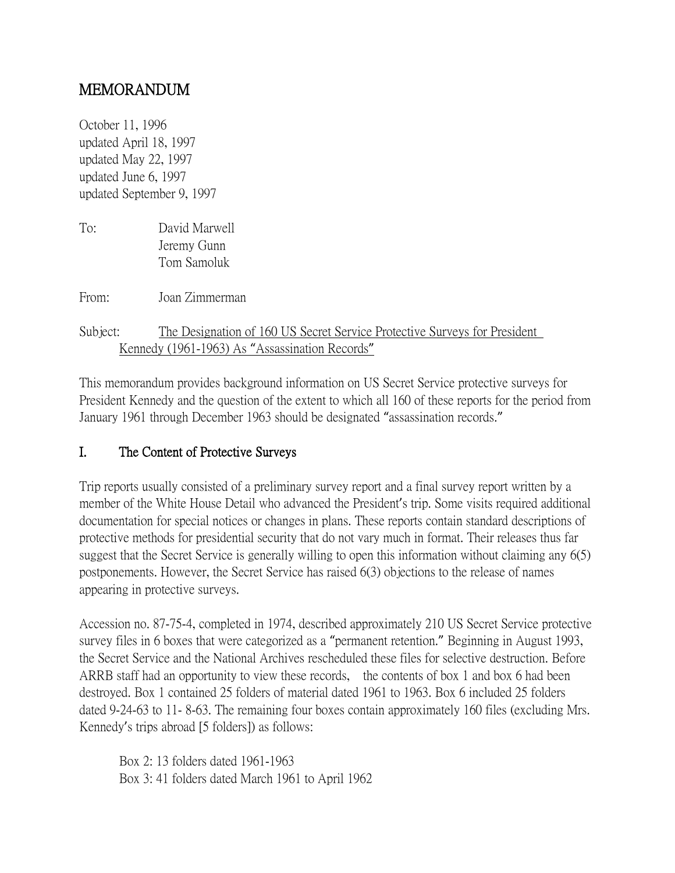# MEMORANDUM

October 11, 1996 updated April 18, 1997 updated May 22, 1997 updated June 6, 1997 updated September 9, 1997

To: David Marwell Jeremy Gunn Tom Samoluk

From: Joan Zimmerman

Subject: The Designation of 160 US Secret Service Protective Surveys for President Kennedy (1961-1963) As "Assassination Records"

This memorandum provides background information on US Secret Service protective surveys for President Kennedy and the question of the extent to which all 160 of these reports for the period from January 1961 through December 1963 should be designated "assassination records."

# I. The Content of Protective Surveys

Trip reports usually consisted of a preliminary survey report and a final survey report written by a member of the White House Detail who advanced the President's trip. Some visits required additional documentation for special notices or changes in plans. These reports contain standard descriptions of protective methods for presidential security that do not vary much in format. Their releases thus far suggest that the Secret Service is generally willing to open this information without claiming any 6(5) postponements. However, the Secret Service has raised 6(3) objections to the release of names appearing in protective surveys.

Accession no. 87-75-4, completed in 1974, described approximately 210 US Secret Service protective survey files in 6 boxes that were categorized as a "permanent retention." Beginning in August 1993, the Secret Service and the National Archives rescheduled these files for selective destruction. Before ARRB staff had an opportunity to view these records, the contents of box 1 and box 6 had been destroyed. Box 1 contained 25 folders of material dated 1961 to 1963. Box 6 included 25 folders dated 9-24-63 to 11- 8-63. The remaining four boxes contain approximately 160 files (excluding Mrs. Kennedy's trips abroad [5 folders]) as follows:

Box 2: 13 folders dated 1961-1963 Box 3: 41 folders dated March 1961 to April 1962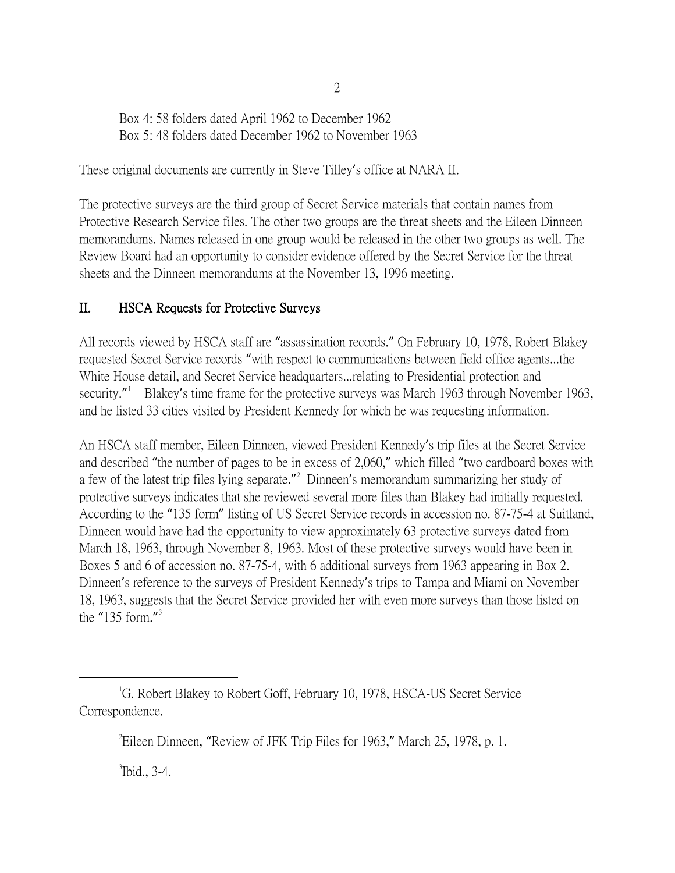Box 4: 58 folders dated April 1962 to December 1962 Box 5: 48 folders dated December 1962 to November 1963

These original documents are currently in Steve Tilley's office at NARA II.

The protective surveys are the third group of Secret Service materials that contain names from Protective Research Service files. The other two groups are the threat sheets and the Eileen Dinneen memorandums. Names released in one group would be released in the other two groups as well. The Review Board had an opportunity to consider evidence offered by the Secret Service for the threat sheets and the Dinneen memorandums at the November 13, 1996 meeting.

## II. HSCA Requests for Protective Surveys

All records viewed by HSCA staff are "assassination records." On February 10, 1978, Robert Blakey requested Secret Service records "with respect to communications between field office agents...the White House detail, and Secret Service headquarters...relating to Presidential protection and security." Blakey's time frame for the protective surveys was March [1](#page-1-0)963 through November 1963, and he listed 33 cities visited by President Kennedy for which he was requesting information.

An HSCA staff member, Eileen Dinneen, viewed President Kennedy's trip files at the Secret Service and described "the number of pages to be in excess of 2,060," which filled "two cardboard boxes with a few of the latest trip files lying separate."<sup>[2](#page-1-1)</sup> Dinneen's memorandum summarizing her study of protective surveys indicates that she reviewed several more files than Blakey had initially requested. According to the "135 form" listing of US Secret Service records in accession no. 87-75-4 at Suitland, Dinneen would have had the opportunity to view approximately 63 protective surveys dated from March 18, 1963, through November 8, 1963. Most of these protective surveys would have been in Boxes 5 and 6 of accession no. 87-75-4, with 6 additional surveys from 1963 appearing in Box 2. Dinneen's reference to the surveys of President Kennedy's trips to Tampa and Miami on November 18, 1963, suggests that the Secret Service provided her with even more surveys than those listed on the "1[3](#page-1-2)5 form."<sup>3</sup>

<span id="page-1-2"></span> $\mathrm{^3}$ Ibid., 3-4.

<span id="page-1-1"></span><span id="page-1-0"></span> $\overline{\phantom{a}}$ <sup>1</sup>G. Robert Blakey to Robert Goff, February 10, 1978, HSCA-US Secret Service Correspondence.

<sup>2</sup> Eileen Dinneen, "Review of JFK Trip Files for 1963," March 25, 1978, p. 1.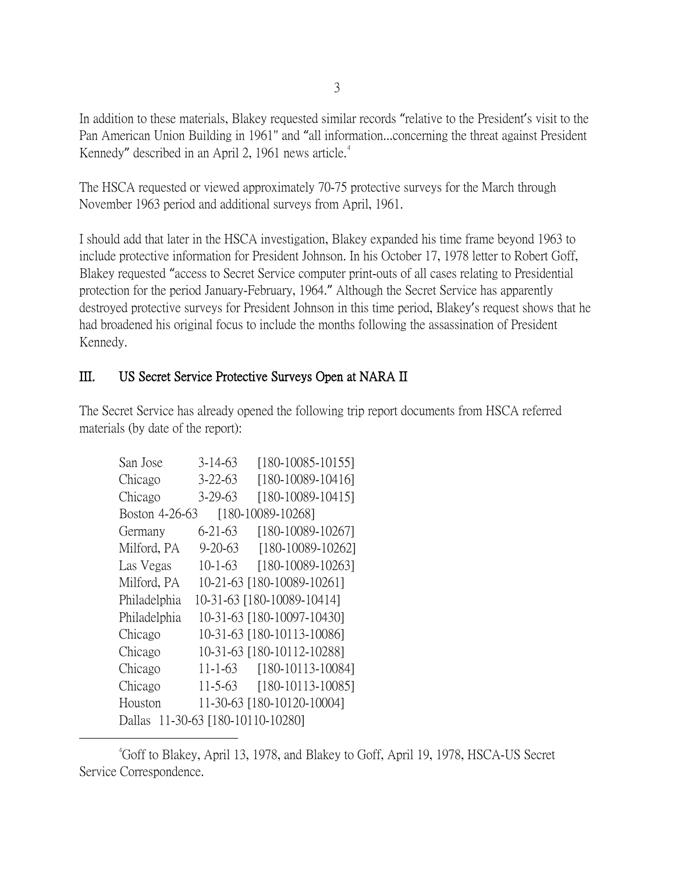In addition to these materials, Blakey requested similar records "relative to the President's visit to the Pan American Union Building in 1961" and "all information...concerning the threat against President Kennedy" described in an April 2, 1961 news article. $4$ 

The HSCA requested or viewed approximately 70-75 protective surveys for the March through November 1963 period and additional surveys from April, 1961.

I should add that later in the HSCA investigation, Blakey expanded his time frame beyond 1963 to include protective information for President Johnson. In his October 17, 1978 letter to Robert Goff, Blakey requested "access to Secret Service computer print-outs of all cases relating to Presidential protection for the period January-February, 1964." Although the Secret Service has apparently destroyed protective surveys for President Johnson in this time period, Blakey's request shows that he had broadened his original focus to include the months following the assassination of President Kennedy.

# III. US Secret Service Protective Surveys Open at NARA II

The Secret Service has already opened the following trip report documents from HSCA referred materials (by date of the report):

| San Jose                            | $3 - 14 - 63$ | $[180-10085-10155]$        |  |  |
|-------------------------------------|---------------|----------------------------|--|--|
| Chicago                             | $3 - 22 - 63$ | [180-10089-10416]          |  |  |
| Chicago                             | 3-29-63       | $[180-10089-10415]$        |  |  |
| [180-10089-10268]<br>Boston 4-26-63 |               |                            |  |  |
| Germany                             | 6-21-63       | [180-10089-10267]          |  |  |
| Milford, PA                         | $9 - 20 - 63$ | $[180-10089-10262]$        |  |  |
| Las Vegas                           | $10 - 1 - 63$ | [180-10089-10263]          |  |  |
| Milford, PA                         |               | 10-21-63 [180-10089-10261] |  |  |
| Philadelphia                        |               | 10-31-63 [180-10089-10414] |  |  |
| Philadelphia                        |               | 10-31-63 [180-10097-10430] |  |  |
| Chicago                             |               | 10-31-63 [180-10113-10086] |  |  |
| Chicago                             |               | 10-31-63 [180-10112-10288] |  |  |
| Chicago                             | $11 - 1 - 63$ | $[180-10113-10084]$        |  |  |
| Chicago                             | $11 - 5 - 63$ | $[180-10113-10085]$        |  |  |
| Houston                             |               | 11-30-63 [180-10120-10004] |  |  |
| Dallas 11-30-63 [180-10110-10280]   |               |                            |  |  |

<span id="page-2-0"></span> $\overline{\phantom{a}}$ Goff to Blakey, April 13, 1978, and Blakey to Goff, April 19, 1978, HSCA-US Secret Service Correspondence.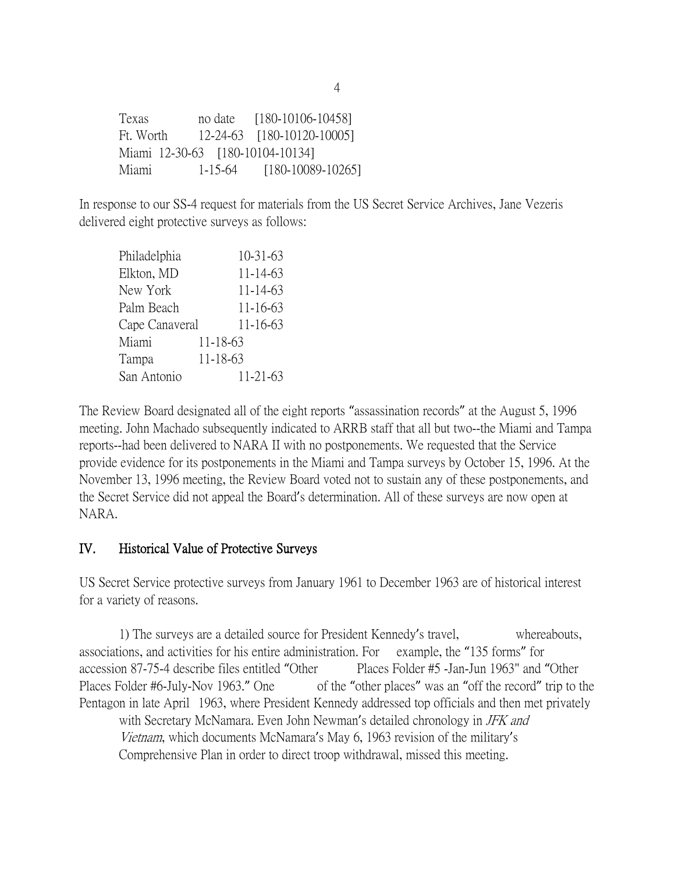Texas no date [180-10106-10458] Ft. Worth 12-24-63 [180-10120-10005] Miami 12-30-63 [180-10104-10134] Miami 1-15-64 [180-10089-10265]

In response to our SS-4 request for materials from the US Secret Service Archives, Jane Vezeris delivered eight protective surveys as follows:

| Philadelphia   |          | $10-31-63$ |
|----------------|----------|------------|
| Elkton, MD     |          | 11-14-63   |
| New York       |          | 11-14-63   |
| Palm Beach     |          | 11-16-63   |
| Cape Canaveral |          | 11-16-63   |
| Miami          | 11-18-63 |            |
| Tampa          | 11-18-63 |            |
| San Antonio    |          | 11-21-63   |

The Review Board designated all of the eight reports "assassination records" at the August 5, 1996 meeting. John Machado subsequently indicated to ARRB staff that all but two--the Miami and Tampa reports--had been delivered to NARA II with no postponements. We requested that the Service provide evidence for its postponements in the Miami and Tampa surveys by October 15, 1996. At the November 13, 1996 meeting, the Review Board voted not to sustain any of these postponements, and the Secret Service did not appeal the Board's determination. All of these surveys are now open at NARA.

#### IV. Historical Value of Protective Surveys

US Secret Service protective surveys from January 1961 to December 1963 are of historical interest for a variety of reasons.

1) The surveys are a detailed source for President Kennedy's travel, whereabouts, associations, and activities for his entire administration. For example, the "135 forms" for accession 87-75-4 describe files entitled "Other Places Folder #5 -Jan-Jun 1963" and "Other Places Folder #6-July-Nov 1963." One of the "other places" was an "off the record" trip to the Pentagon in late April 1963, where President Kennedy addressed top officials and then met privately with Secretary McNamara. Even John Newman's detailed chronology in *JFK and* Vietnam, which documents McNamara's May 6, 1963 revision of the military's Comprehensive Plan in order to direct troop withdrawal, missed this meeting.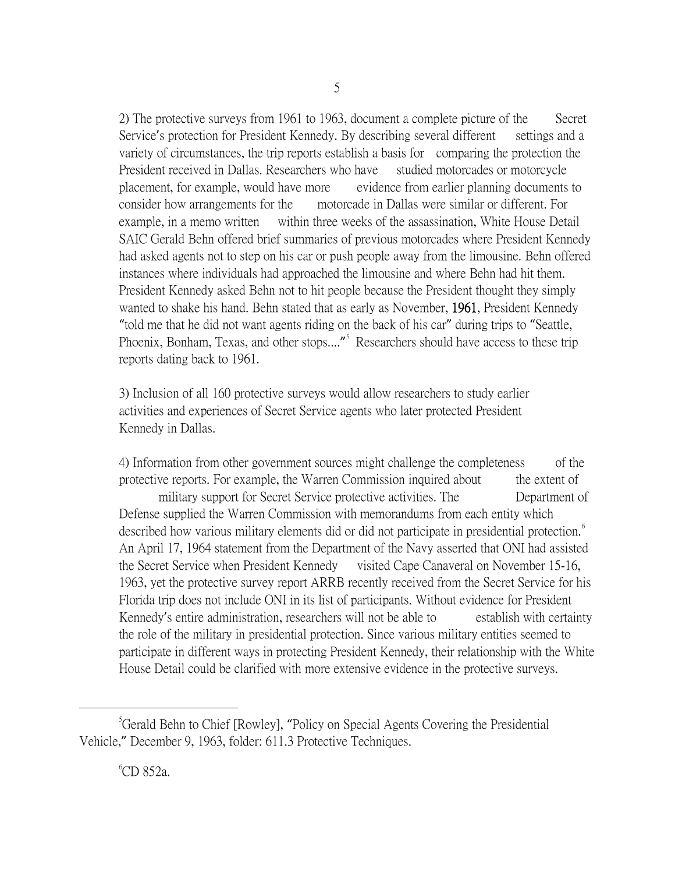2) The protective surveys from 1961 to 1963, document a complete picture of the Secret Service's protection for President Kennedy. By describing several different settings and a variety of circumstances, the trip reports establish a basis for comparing the protection the President received in Dallas. Researchers who have studied motorcades or motorcycle placement, for example, would have more evidence from earlier planning documents to consider how arrangements for the motorcade in Dallas were similar or different. For example, in a memo written within three weeks of the assassination, White House Detail SAIC Gerald Behn offered brief summaries of previous motorcades where President Kennedy had asked agents not to step on his car or push people away from the limousine. Behn offered instances where individuals had approached the limousine and where Behn had hit them. President Kennedy asked Behn not to hit people because the President thought they simply wanted to shake his hand. Behn stated that as early as November, 1961, President Kennedy "told me that he did not want agents riding on the back of his car" during trips to "Seattle, Phoenix, Bonham, Texas, and other stops...."<sup>[5](#page-4-0)</sup> Researchers should have access to these trip reports dating back to 1961.

3) Inclusion of all 160 protective surveys would allow researchers to study earlier activities and experiences of Secret Service agents who later protected President Kennedy in Dallas.

4) Information from other government sources might challenge the completeness of the protective reports. For example, the Warren Commission inquired about the extent of military support for Secret Service protective activities. The Department of Defense supplied the Warren Commission with memorandums from each entity which described how various military elements did or did not participate in presidential protection.<sup>[6](#page-4-1)</sup> An April 17, 1964 statement from the Department of the Navy asserted that ONI had assisted the Secret Service when President Kennedy visited Cape Canaveral on November 15-16, 1963, yet the protective survey report ARRB recently received from the Secret Service for his Florida trip does not include ONI in its list of participants. Without evidence for President Kennedy's entire administration, researchers will not be able to establish with certainty the role of the military in presidential protection. Since various military entities seemed to participate in different ways in protecting President Kennedy, their relationship with the White House Detail could be clarified with more extensive evidence in the protective surveys.

<span id="page-4-1"></span><span id="page-4-0"></span> $\frac{1}{5}$ <sup>5</sup>Gerald Behn to Chief [Rowley], "Policy on Special Agents Covering the Presidential Vehicle," December 9, 1963, folder: 611.3 Protective Techniques.

<sup>6</sup> CD 852a.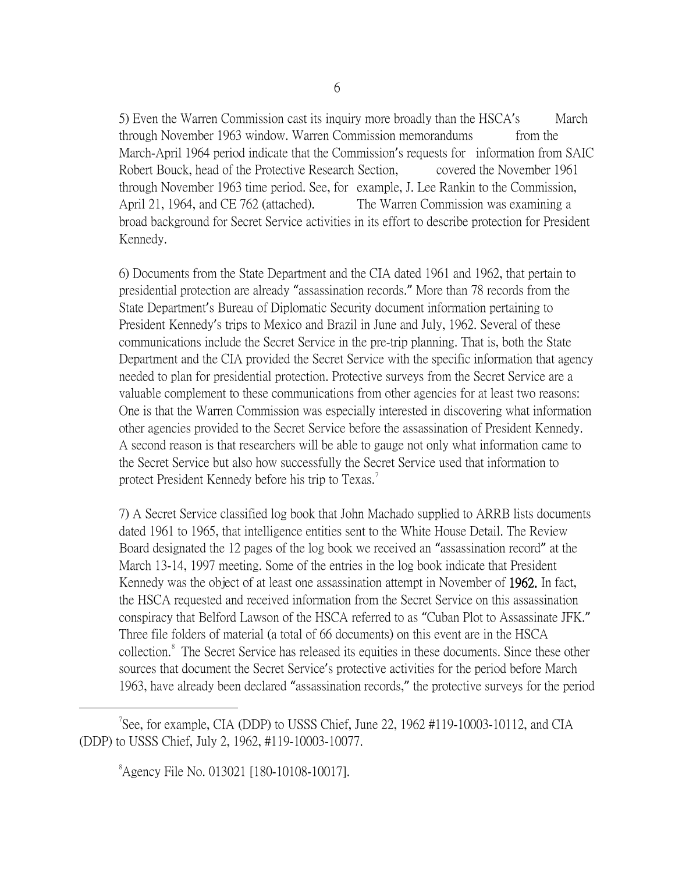5) Even the Warren Commission cast its inquiry more broadly than the HSCA's March through November 1963 window. Warren Commission memorandums from the March-April 1964 period indicate that the Commission's requests for information from SAIC Robert Bouck, head of the Protective Research Section, covered the November 1961 through November 1963 time period. See, for example, J. Lee Rankin to the Commission, April 21, 1964, and CE 762 (attached). The Warren Commission was examining a broad background for Secret Service activities in its effort to describe protection for President Kennedy.

6) Documents from the State Department and the CIA dated 1961 and 1962, that pertain to presidential protection are already "assassination records." More than 78 records from the State Department's Bureau of Diplomatic Security document information pertaining to President Kennedy's trips to Mexico and Brazil in June and July, 1962. Several of these communications include the Secret Service in the pre-trip planning. That is, both the State Department and the CIA provided the Secret Service with the specific information that agency needed to plan for presidential protection. Protective surveys from the Secret Service are a valuable complement to these communications from other agencies for at least two reasons: One is that the Warren Commission was especially interested in discovering what information other agencies provided to the Secret Service before the assassination of President Kennedy. A second reason is that researchers will be able to gauge not only what information came to the Secret Service but also how successfully the Secret Service used that information to protect President Kennedy before his trip to Texas.<sup>[7](#page-5-0)</sup>

7) A Secret Service classified log book that John Machado supplied to ARRB lists documents dated 1961 to 1965, that intelligence entities sent to the White House Detail. The Review Board designated the 12 pages of the log book we received an "assassination record" at the March 13-14, 1997 meeting. Some of the entries in the log book indicate that President Kennedy was the object of at least one assassination attempt in November of 1962. In fact, the HSCA requested and received information from the Secret Service on this assassination conspiracy that Belford Lawson of the HSCA referred to as "Cuban Plot to Assassinate JFK." Three file folders of material (a total of 66 documents) on this event are in the HSCA collection.<sup>[8](#page-5-1)</sup> The Secret Service has released its equities in these documents. Since these other sources that document the Secret Service's protective activities for the period before March 1963, have already been declared "assassination records," the protective surveys for the period

<span id="page-5-1"></span><span id="page-5-0"></span> $\overline{\phantom{a}}$ <sup>7</sup>See, for example, CIA (DDP) to USSS Chief, June 22, 1962 #119-10003-10112, and CIA (DDP) to USSS Chief, July 2, 1962, #119-10003-10077.

8 Agency File No. 013021 [180-10108-10017].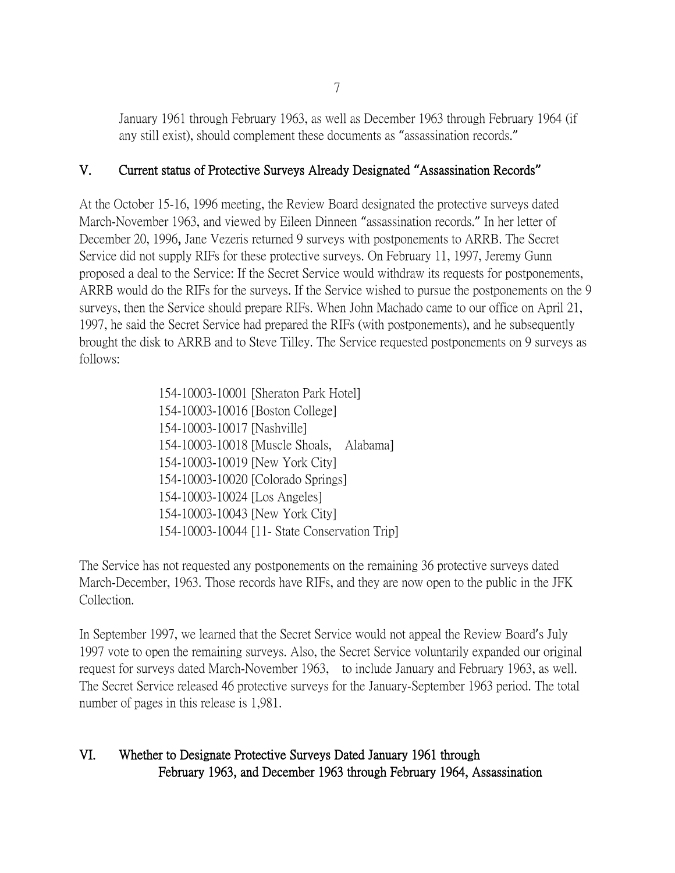January 1961 through February 1963, as well as December 1963 through February 1964 (if any still exist), should complement these documents as "assassination records."

## V. Current status of Protective Surveys Already Designated **"**Assassination Records**"**

At the October 15-16, 1996 meeting, the Review Board designated the protective surveys dated March-November 1963, and viewed by Eileen Dinneen "assassination records." In her letter of December 20, 1996, Jane Vezeris returned 9 surveys with postponements to ARRB. The Secret Service did not supply RIFs for these protective surveys. On February 11, 1997, Jeremy Gunn proposed a deal to the Service: If the Secret Service would withdraw its requests for postponements, ARRB would do the RIFs for the surveys. If the Service wished to pursue the postponements on the 9 surveys, then the Service should prepare RIFs. When John Machado came to our office on April 21, 1997, he said the Secret Service had prepared the RIFs (with postponements), and he subsequently brought the disk to ARRB and to Steve Tilley. The Service requested postponements on 9 surveys as follows:

> 154-10003-10001 [Sheraton Park Hotel] 154-10003-10016 [Boston College] 154-10003-10017 [Nashville] 154-10003-10018 [Muscle Shoals, Alabama] 154-10003-10019 [New York City] 154-10003-10020 [Colorado Springs] 154-10003-10024 [Los Angeles] 154-10003-10043 [New York City] 154-10003-10044 [11- State Conservation Trip]

The Service has not requested any postponements on the remaining 36 protective surveys dated March-December, 1963. Those records have RIFs, and they are now open to the public in the JFK Collection.

In September 1997, we learned that the Secret Service would not appeal the Review Board's July 1997 vote to open the remaining surveys. Also, the Secret Service voluntarily expanded our original request for surveys dated March-November 1963, to include January and February 1963, as well. The Secret Service released 46 protective surveys for the January-September 1963 period. The total number of pages in this release is 1,981.

# VI. Whether to Designate Protective Surveys Dated January 1961 through February 1963, and December 1963 through February 1964, Assassination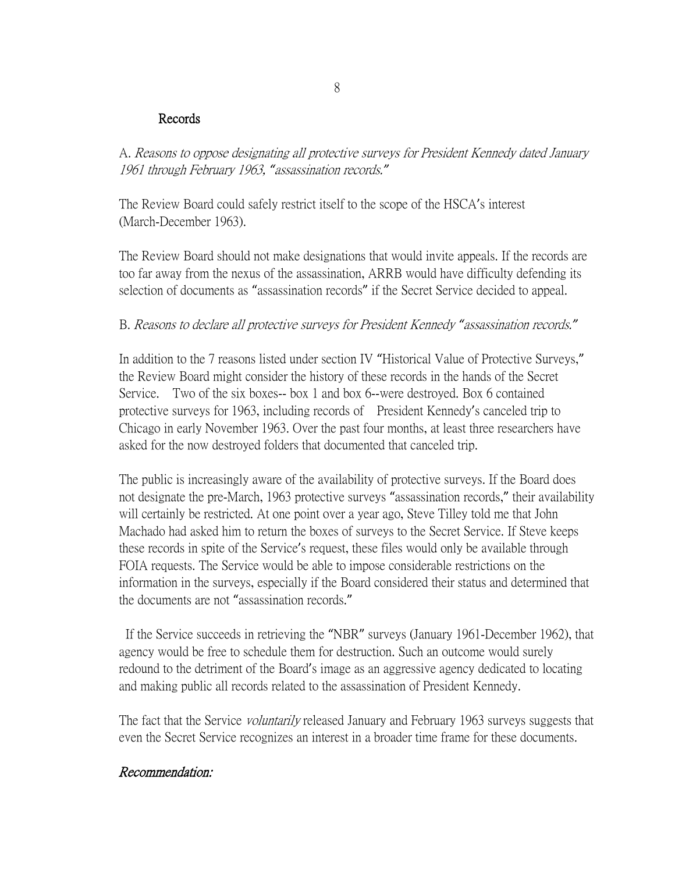#### Records

A. Reasons to oppose designating all protective surveys for President Kennedy dated January 1961 through February 1963, *"*assassination records.*"*

The Review Board could safely restrict itself to the scope of the HSCA's interest (March-December 1963).

The Review Board should not make designations that would invite appeals. If the records are too far away from the nexus of the assassination, ARRB would have difficulty defending its selection of documents as "assassination records" if the Secret Service decided to appeal.

#### B. Reasons to declare all protective surveys for President Kennedy *"*assassination records.*"*

In addition to the 7 reasons listed under section IV "Historical Value of Protective Surveys," the Review Board might consider the history of these records in the hands of the Secret Service. Two of the six boxes-- box 1 and box 6--were destroyed. Box 6 contained protective surveys for 1963, including records of President Kennedy's canceled trip to Chicago in early November 1963. Over the past four months, at least three researchers have asked for the now destroyed folders that documented that canceled trip.

The public is increasingly aware of the availability of protective surveys. If the Board does not designate the pre-March, 1963 protective surveys "assassination records," their availability will certainly be restricted. At one point over a year ago, Steve Tilley told me that John Machado had asked him to return the boxes of surveys to the Secret Service. If Steve keeps these records in spite of the Service's request, these files would only be available through FOIA requests. The Service would be able to impose considerable restrictions on the information in the surveys, especially if the Board considered their status and determined that the documents are not "assassination records."

If the Service succeeds in retrieving the "NBR" surveys (January 1961-December 1962), that agency would be free to schedule them for destruction. Such an outcome would surely redound to the detriment of the Board's image as an aggressive agency dedicated to locating and making public all records related to the assassination of President Kennedy.

The fact that the Service *voluntarily* released January and February 1963 surveys suggests that even the Secret Service recognizes an interest in a broader time frame for these documents.

### Recommendation: